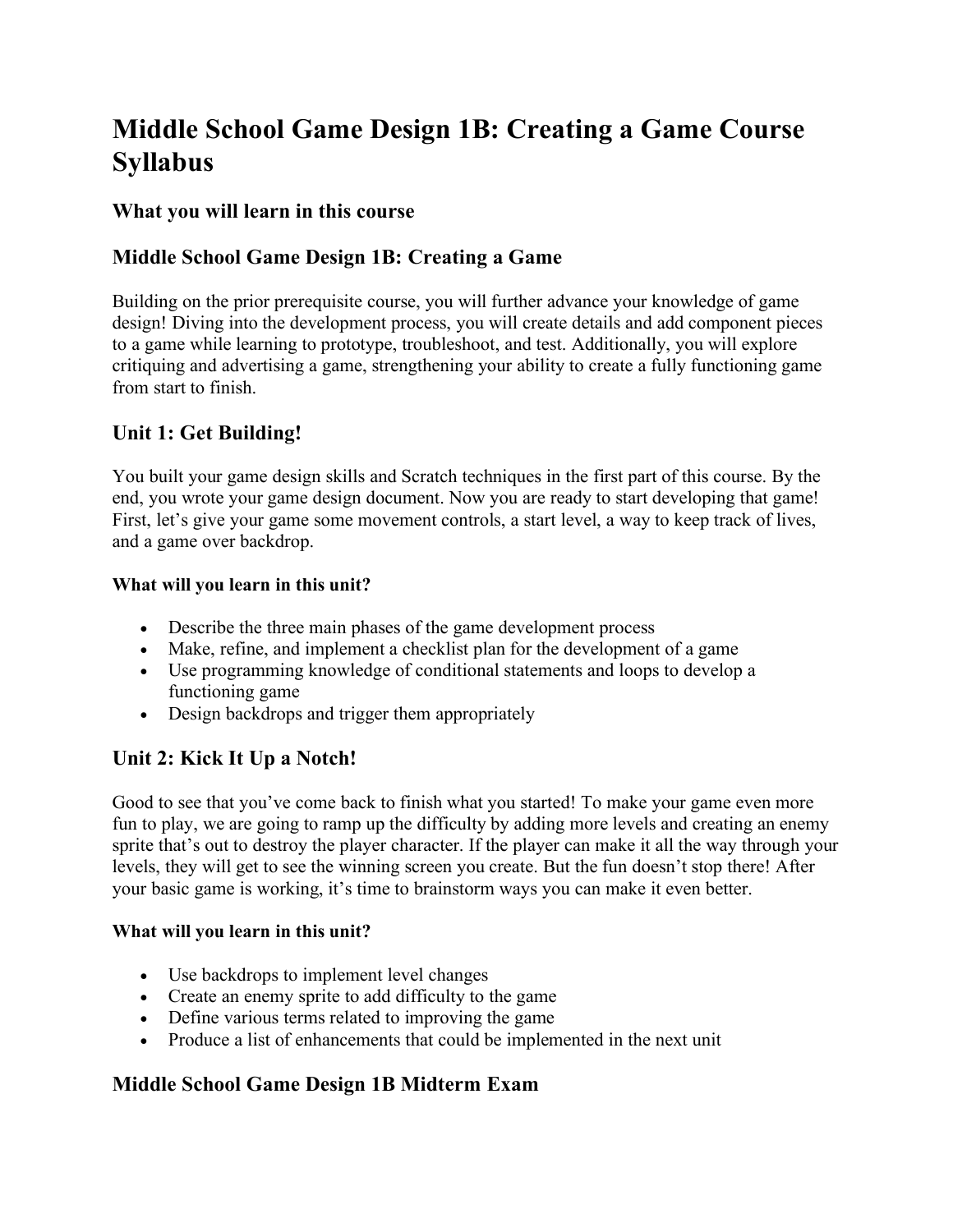# **Middle School Game Design 1B: Creating a Game Course Syllabus**

### **What you will learn in this course**

# **Middle School Game Design 1B: Creating a Game**

Building on the prior prerequisite course, you will further advance your knowledge of game design! Diving into the development process, you will create details and add component pieces to a game while learning to prototype, troubleshoot, and test. Additionally, you will explore critiquing and advertising a game, strengthening your ability to create a fully functioning game from start to finish.

# **Unit 1: Get Building!**

You built your game design skills and Scratch techniques in the first part of this course. By the end, you wrote your game design document. Now you are ready to start developing that game! First, let's give your game some movement controls, a start level, a way to keep track of lives, and a game over backdrop.

#### **What will you learn in this unit?**

- Describe the three main phases of the game development process
- Make, refine, and implement a checklist plan for the development of a game
- Use programming knowledge of conditional statements and loops to develop a functioning game
- Design backdrops and trigger them appropriately

# **Unit 2: Kick It Up a Notch!**

Good to see that you've come back to finish what you started! To make your game even more fun to play, we are going to ramp up the difficulty by adding more levels and creating an enemy sprite that's out to destroy the player character. If the player can make it all the way through your levels, they will get to see the winning screen you create. But the fun doesn't stop there! After your basic game is working, it's time to brainstorm ways you can make it even better.

#### **What will you learn in this unit?**

- Use backdrops to implement level changes
- Create an enemy sprite to add difficulty to the game
- Define various terms related to improving the game
- Produce a list of enhancements that could be implemented in the next unit

# **Middle School Game Design 1B Midterm Exam**